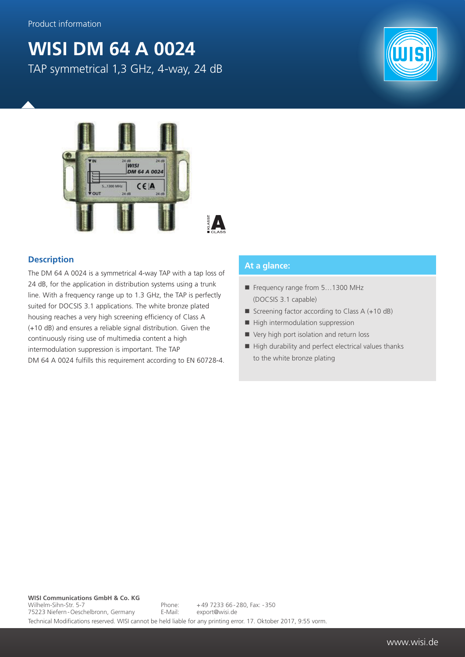## **WISI DM 64 A 0024** TAP symmetrical 1,3 GHz, 4-way, 24 dB



## **Description**

The DM 64 A 0024 is a symmetrical 4-way TAP with a tap loss of 24 dB, for the application in distribution systems using a trunk line. With a frequency range up to 1.3 GHz, the TAP is perfectly suited for DOCSIS 3.1 applications. The white bronze plated housing reaches a very high screening efficiency of Class A (+10 dB) and ensures a reliable signal distribution. Given the continuously rising use of multimedia content a high intermodulation suppression is important. The TAP DM 64 A 0024 fulfills this requirement according to EN 60728-4.

## **At a glance:**

- Frequency range from 5...1300 MHz (DOCSIS 3.1 capable)
- Screening factor according to Class  $A (+10 dB)$
- $\blacksquare$  High intermodulation suppression
- Very high port isolation and return loss
- $\blacksquare$  High durability and perfect electrical values thanks to the white bronze plating